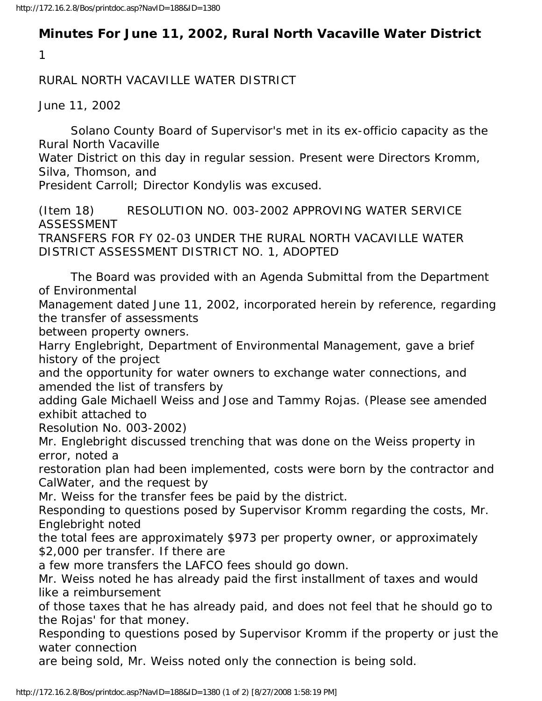## **Minutes For June 11, 2002, Rural North Vacaville Water District**

1

## RURAL NORTH VACAVILLE WATER DISTRICT

June 11, 2002

 Solano County Board of Supervisor's met in its ex-officio capacity as the Rural North Vacaville

Water District on this day in regular session. Present were Directors Kromm, Silva, Thomson, and

President Carroll; Director Kondylis was excused.

(Item 18) RESOLUTION NO. 003-2002 APPROVING WATER SERVICE ASSESSMENT TRANSFERS FOR FY 02-03 UNDER THE RURAL NORTH VACAVILLE WATER

DISTRICT ASSESSMENT DISTRICT NO. 1, ADOPTED

 The Board was provided with an Agenda Submittal from the Department of Environmental

Management dated June 11, 2002, incorporated herein by reference, regarding the transfer of assessments

between property owners.

Harry Englebright, Department of Environmental Management, gave a brief history of the project

and the opportunity for water owners to exchange water connections, and amended the list of transfers by

adding Gale Michaell Weiss and Jose and Tammy Rojas. (Please see amended exhibit attached to

Resolution No. 003-2002)

Mr. Englebright discussed trenching that was done on the Weiss property in error, noted a

restoration plan had been implemented, costs were born by the contractor and CalWater, and the request by

Mr. Weiss for the transfer fees be paid by the district.

Responding to questions posed by Supervisor Kromm regarding the costs, Mr. Englebright noted

the total fees are approximately \$973 per property owner, or approximately \$2,000 per transfer. If there are

a few more transfers the LAFCO fees should go down.

Mr. Weiss noted he has already paid the first installment of taxes and would like a reimbursement

of those taxes that he has already paid, and does not feel that he should go to the Rojas' for that money.

Responding to questions posed by Supervisor Kromm if the property or just the water connection

are being sold, Mr. Weiss noted only the connection is being sold.